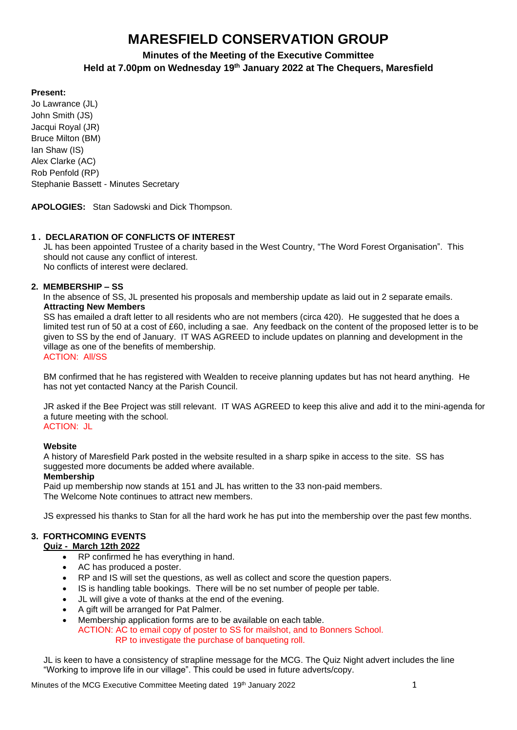# **MARESFIELD CONSERVATION GROUP**

# **Minutes of the Meeting of the Executive Committee Held at 7.00pm on Wednesday 19 th January 2022 at The Chequers, Maresfield**

#### **Present:**

Jo Lawrance (JL) John Smith (JS) Jacqui Royal (JR) Bruce Milton (BM) Ian Shaw (IS) Alex Clarke (AC) Rob Penfold (RP) Stephanie Bassett - Minutes Secretary

**APOLOGIES:** Stan Sadowski and Dick Thompson.

### **1 . DECLARATION OF CONFLICTS OF INTEREST**

JL has been appointed Trustee of a charity based in the West Country, "The Word Forest Organisation". This should not cause any conflict of interest. No conflicts of interest were declared.

#### **2. MEMBERSHIP – SS**

 In the absence of SS, JL presented his proposals and membership update as laid out in 2 separate emails. **Attracting New Members**

SS has emailed a draft letter to all residents who are not members (circa 420). He suggested that he does a limited test run of 50 at a cost of £60, including a sae. Any feedback on the content of the proposed letter is to be given to SS by the end of January. IT WAS AGREED to include updates on planning and development in the village as one of the benefits of membership. ACTION: All/SS

BM confirmed that he has registered with Wealden to receive planning updates but has not heard anything. He has not yet contacted Nancy at the Parish Council.

JR asked if the Bee Project was still relevant. IT WAS AGREED to keep this alive and add it to the mini-agenda for a future meeting with the school. ACTION: JL

#### **Website**

A history of Maresfield Park posted in the website resulted in a sharp spike in access to the site. SS has suggested more documents be added where available.

#### **Membership**

Paid up membership now stands at 151 and JL has written to the 33 non-paid members. The Welcome Note continues to attract new members.

JS expressed his thanks to Stan for all the hard work he has put into the membership over the past few months.

## **3. FORTHCOMING EVENTS**

#### **Quiz - March 12th 2022**

- RP confirmed he has everything in hand.
- AC has produced a poster.
- RP and IS will set the questions, as well as collect and score the question papers.
- IS is handling table bookings. There will be no set number of people per table.
- JL will give a vote of thanks at the end of the evening.
- A gift will be arranged for Pat Palmer.
- Membership application forms are to be available on each table. ACTION: AC to email copy of poster to SS for mailshot, and to Bonners School. RP to investigate the purchase of banqueting roll.

JL is keen to have a consistency of strapline message for the MCG. The Quiz Night advert includes the line "Working to improve life in our village". This could be used in future adverts/copy.

Minutes of the MCG Executive Committee Meeting dated 19<sup>th</sup> January 2022 19th 1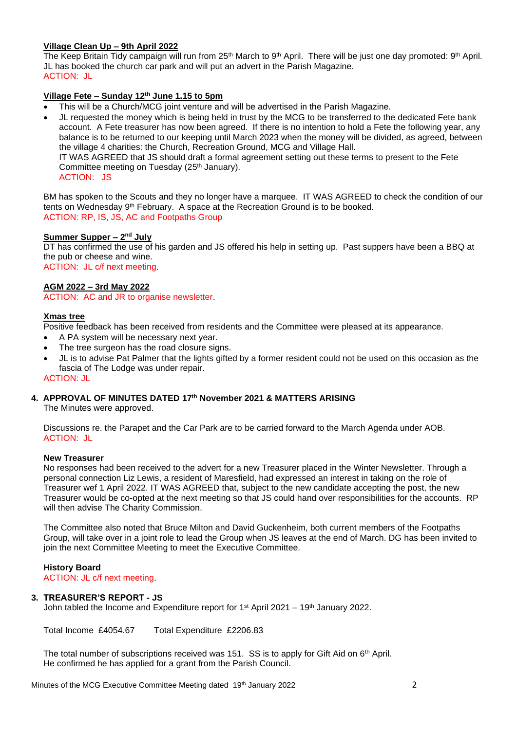#### **Village Clean Up – 9th April 2022**

The Keep Britain Tidy campaign will run from 25<sup>th</sup> March to 9<sup>th</sup> April. There will be just one day promoted: 9<sup>th</sup> April. JL has booked the church car park and will put an advert in the Parish Magazine. ACTION: JL

#### **Village Fete – Sunday 12th June 1.15 to 5pm**

- This will be a Church/MCG joint venture and will be advertised in the Parish Magazine.
- JL requested the money which is being held in trust by the MCG to be transferred to the dedicated Fete bank account. A Fete treasurer has now been agreed. If there is no intention to hold a Fete the following year, any balance is to be returned to our keeping until March 2023 when the money will be divided, as agreed, between the village 4 charities: the Church, Recreation Ground, MCG and Village Hall. IT WAS AGREED that JS should draft a formal agreement setting out these terms to present to the Fete Committee meeting on Tuesday (25<sup>th</sup> January). ACTION: JS

BM has spoken to the Scouts and they no longer have a marquee. IT WAS AGREED to check the condition of our tents on Wednesday 9th February. A space at the Recreation Ground is to be booked. ACTION: RP, IS, JS, AC and Footpaths Group

#### **Summer Supper – 2<sup>nd</sup> July**

DT has confirmed the use of his garden and JS offered his help in setting up. Past suppers have been a BBQ at the pub or cheese and wine. ACTION: JL c/f next meeting.

**AGM 2022 – 3rd May 2022** ACTION: AC and JR to organise newsletter.

#### **Xmas tree**

Positive feedback has been received from residents and the Committee were pleased at its appearance.

- A PA system will be necessary next year.
- The tree surgeon has the road closure signs.
- JL is to advise Pat Palmer that the lights gifted by a former resident could not be used on this occasion as the fascia of The Lodge was under repair.

#### ACTION: JL

#### **4. APPROVAL OF MINUTES DATED 17th November 2021 & MATTERS ARISING**

The Minutes were approved.

Discussions re. the Parapet and the Car Park are to be carried forward to the March Agenda under AOB. ACTION: JL

#### **New Treasurer**

No responses had been received to the advert for a new Treasurer placed in the Winter Newsletter. Through a personal connection Liz Lewis, a resident of Maresfield, had expressed an interest in taking on the role of Treasurer wef 1 April 2022. IT WAS AGREED that, subject to the new candidate accepting the post, the new Treasurer would be co-opted at the next meeting so that JS could hand over responsibilities for the accounts. RP will then advise The Charity Commission.

The Committee also noted that Bruce Milton and David Guckenheim, both current members of the Footpaths Group, will take over in a joint role to lead the Group when JS leaves at the end of March. DG has been invited to join the next Committee Meeting to meet the Executive Committee.

#### **History Board**

ACTION: JL c/f next meeting.

#### **3. TREASURER'S REPORT - JS**

John tabled the Income and Expenditure report for 1st April 2021 – 19th January 2022.

Total Income £4054.67 Total Expenditure £2206.83

The total number of subscriptions received was 151. SS is to apply for Gift Aid on 6<sup>th</sup> April. He confirmed he has applied for a grant from the Parish Council.